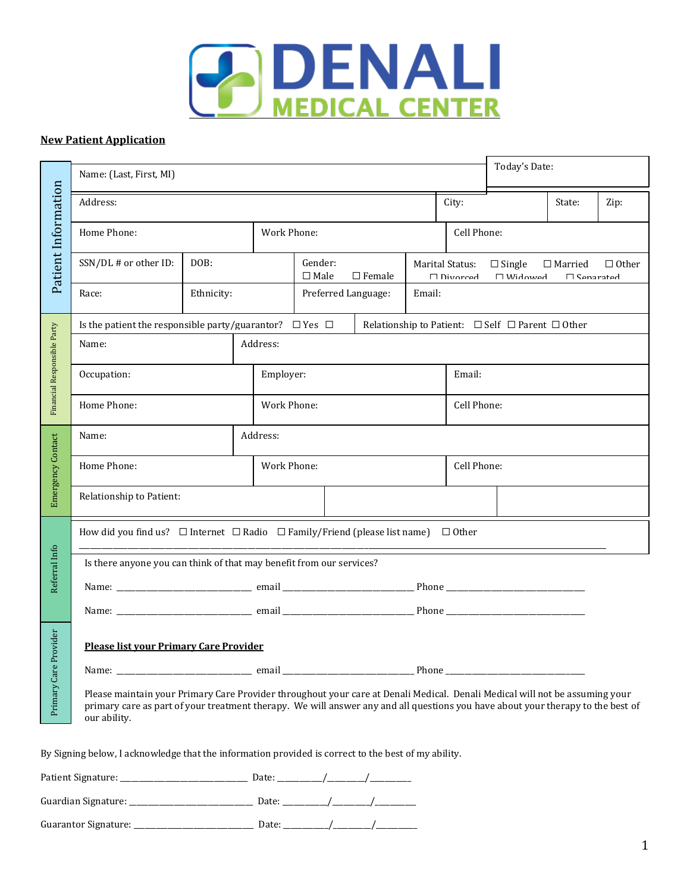

#### **New Patient Application**

|                             | Today's Date:<br>Name: (Last, First, MI)                                                                                                                                                                                                                                       |            |             |                           |               |        |                                                                                                           |  |              |      |
|-----------------------------|--------------------------------------------------------------------------------------------------------------------------------------------------------------------------------------------------------------------------------------------------------------------------------|------------|-------------|---------------------------|---------------|--------|-----------------------------------------------------------------------------------------------------------|--|--------------|------|
|                             | Address:                                                                                                                                                                                                                                                                       |            |             |                           |               |        | City:                                                                                                     |  | State:       | Zip: |
|                             | Home Phone:                                                                                                                                                                                                                                                                    |            |             | Work Phone:               |               |        | Cell Phone:                                                                                               |  |              |      |
| Patient Information         | SSN/DL # or other ID:                                                                                                                                                                                                                                                          | DOB:       |             | Gender:<br>$\square$ Male | $\Box$ Female |        | Marital Status:<br>$\Box$ Single<br>$\Box$ Married<br>$\Box$ Divorced<br>$MihN \prod$<br>$\Box$ Sansrstad |  | $\Box$ Other |      |
|                             | Race:                                                                                                                                                                                                                                                                          | Ethnicity: |             | Preferred Language:       |               | Email: |                                                                                                           |  |              |      |
|                             | Is the patient the responsible party/guarantor? $\Box$ Yes $\Box$<br>Relationship to Patient: $\Box$ Self $\Box$ Parent $\Box$ Other                                                                                                                                           |            |             |                           |               |        |                                                                                                           |  |              |      |
| Financial Responsible Party | Name:                                                                                                                                                                                                                                                                          |            | Address:    |                           |               |        |                                                                                                           |  |              |      |
|                             | Occupation:                                                                                                                                                                                                                                                                    |            | Employer:   |                           |               |        | Email:                                                                                                    |  |              |      |
|                             | Home Phone:<br>Work Phone:                                                                                                                                                                                                                                                     |            |             |                           | Cell Phone:   |        |                                                                                                           |  |              |      |
|                             | Name:                                                                                                                                                                                                                                                                          |            | Address:    |                           |               |        |                                                                                                           |  |              |      |
| Emergency Contact           | Home Phone:                                                                                                                                                                                                                                                                    |            | Work Phone: | Cell Phone:               |               |        |                                                                                                           |  |              |      |
|                             | Relationship to Patient:                                                                                                                                                                                                                                                       |            |             |                           |               |        |                                                                                                           |  |              |      |
|                             | How did you find us? $\Box$ Internet $\Box$ Radio $\Box$ Family/Friend (please list name) $\Box$ Other                                                                                                                                                                         |            |             |                           |               |        |                                                                                                           |  |              |      |
| Referral Info               | Is there anyone you can think of that may benefit from our services?                                                                                                                                                                                                           |            |             |                           |               |        |                                                                                                           |  |              |      |
|                             |                                                                                                                                                                                                                                                                                |            |             |                           |               |        |                                                                                                           |  |              |      |
|                             |                                                                                                                                                                                                                                                                                |            |             |                           |               |        |                                                                                                           |  |              |      |
| Provider                    | Please list your Primary Care Provider                                                                                                                                                                                                                                         |            |             |                           |               |        |                                                                                                           |  |              |      |
|                             |                                                                                                                                                                                                                                                                                |            |             |                           |               |        |                                                                                                           |  |              |      |
| Primary Care                | Please maintain your Primary Care Provider throughout your care at Denali Medical. Denali Medical will not be assuming your<br>primary care as part of your treatment therapy. We will answer any and all questions you have about your therapy to the best of<br>our ability. |            |             |                           |               |        |                                                                                                           |  |              |      |
|                             | By Signing below, I acknowledge that the information provided is correct to the best of my ability.                                                                                                                                                                            |            |             |                           |               |        |                                                                                                           |  |              |      |
|                             |                                                                                                                                                                                                                                                                                |            |             |                           |               |        |                                                                                                           |  |              |      |
|                             |                                                                                                                                                                                                                                                                                |            |             |                           |               |        |                                                                                                           |  |              |      |
|                             |                                                                                                                                                                                                                                                                                |            |             |                           |               |        |                                                                                                           |  |              |      |

| Patient Signature:   | Date: |  |  |
|----------------------|-------|--|--|
| Guardian Signature:  | Date: |  |  |
| Guarantor Signature: | Date: |  |  |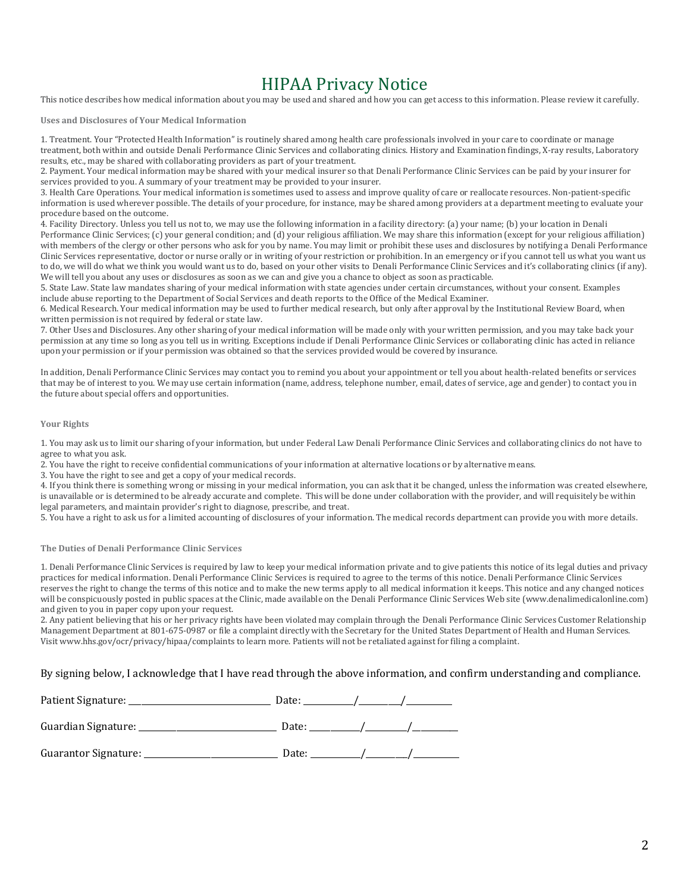# HIPAA Privacy Notice

This notice describes how medical information about you may be used and shared and how you can get access to this information. Please review it carefully.

**Uses and Disclosures of Your Medical Information**

1. Treatment. Your "Protected Health Information" is routinely shared among health care professionals involved in your care to coordinate or manage treatment, both within and outside Denali Performance Clinic Services and collaborating clinics. History and Examination findings, X-ray results, Laboratory results, etc., may be shared with collaborating providers as part of your treatment.

2. Payment. Your medical information may be shared with your medical insurer so that Denali Performance Clinic Services can be paid by your insurer for services provided to you. A summary of your treatment may be provided to your insurer.

3. Health Care Operations. Your medical information is sometimes used to assess and improve quality of care or reallocate resources. Non-patient-specific information is used wherever possible. The details of your procedure, for instance, may be shared among providers at a department meeting to evaluate your procedure based on the outcome.

4. Facility Directory. Unless you tell us not to, we may use the following information in a facility directory: (a) your name; (b) your location in Denali Performance Clinic Services; (c) your general condition; and (d) your religious affiliation. We may share this information (except for your religious affiliation) with members of the clergy or other persons who ask for you by name. You may limit or prohibit these uses and disclosures by notifying a Denali Performance Clinic Services representative, doctor or nurse orally or in writing of your restriction or prohibition. In an emergency or if you cannot tell us what you want us to do, we will do what we think you would want us to do, based on your other visits to Denali Performance Clinic Services and it's collaborating clinics (if any). We will tell you about any uses or disclosures as soon as we can and give you a chance to object as soon as practicable.

5. State Law. State law mandates sharing of your medical information with state agencies under certain circumstances, without your consent. Examples include abuse reporting to the Department of Social Services and death reports to the Office of the Medical Examiner.

6. Medical Research. Your medical information may be used to further medical research, but only after approval by the Institutional Review Board, when written permission is not required by federal or state law.

7. Other Uses and Disclosures. Any other sharing of your medical information will be made only with your written permission, and you may take back your permission at any time so long as you tell us in writing. Exceptions include if Denali Performance Clinic Services or collaborating clinic has acted in reliance upon your permission or if your permission was obtained so that the services provided would be covered by insurance.

In addition, Denali Performance Clinic Services may contact you to remind you about your appointment or tell you about health-related benefits or services that may be of interest to you. We may use certain information (name, address, telephone number, email, dates of service, age and gender) to contact you in the future about special offers and opportunities.

#### **Your Rights**

1. You may ask us to limit our sharing of your information, but under Federal Law Denali Performance Clinic Services and collaborating clinics do not have to agree to what you ask.

2. You have the right to receive confidential communications of your information at alternative locations or by alternative means.

3. You have the right to see and get a copy of your medical records.

4. If you think there is something wrong or missing in your medical information, you can ask that it be changed, unless the information was created elsewhere, is unavailable or is determined to be already accurate and complete. This will be done under collaboration with the provider, and will requisitely be within legal parameters, and maintain provider's right to diagnose, prescribe, and treat.

5. You have a right to ask us for a limited accounting of disclosures of your information. The medical records department can provide you with more details.

**The Duties of Denali Performance Clinic Services**

1. Denali Performance Clinic Services is required by law to keep your medical information private and to give patients this notice of its legal duties and privacy practices for medical information. Denali Performance Clinic Services is required to agree to the terms of this notice. Denali Performance Clinic Services reserves the right to change the terms of this notice and to make the new terms apply to all medical information it keeps. This notice and any changed notices will be conspicuously posted in public spaces at the Clinic, made available on the Denali Performance Clinic Services Web site (www.denalimedicalonline.com) and given to you in paper copy upon your request.

2. Any patient believing that his or her privacy rights have been violated may complain through the Denali Performance Clinic Services Customer Relationship Management Department at 801-675-0987 or file a complaint directly with the Secretary for the United States Department of Health and Human Services. Visit www.hhs.gov/ocr/privacy/hipaa/complaints to learn more. Patients will not be retaliated against for filing a complaint.

By signing below, I acknowledge that I have read through the above information, and confirm understanding and compliance.

| Patient Signature:   | Date: |  |
|----------------------|-------|--|
| Guardian Signature:  | Date: |  |
| Guarantor Signature: | Date: |  |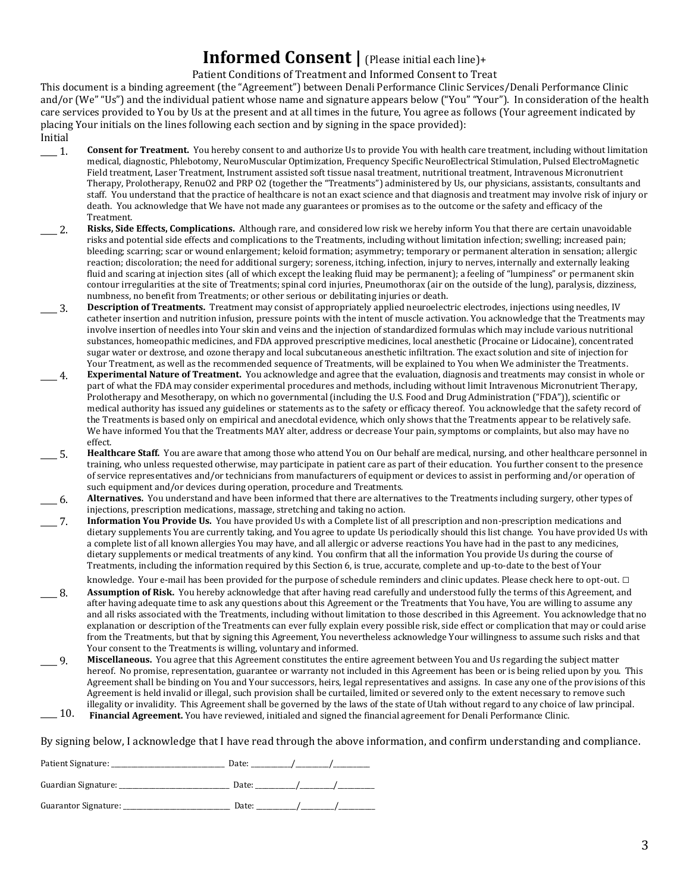# **Informed Consent |** (Please initial each line)+

Patient Conditions of Treatment and Informed Consent to Treat

This document is a binding agreement (the "Agreement") between Denali Performance Clinic Services/Denali Performance Clinic and/or (We" "Us") and the individual patient whose name and signature appears below ("You" "Your"). In consideration of the health care services provided to You by Us at the present and at all times in the future, You agree as follows (Your agreement indicated by placing Your initials on the lines following each section and by signing in the space provided): Initial

- **1.** Consent for Treatment. You hereby consent to and authorize Us to provide You with health care treatment, including without limitation medical, diagnostic, Phlebotomy, NeuroMuscular Optimization, Frequency Specific NeuroElectrical Stimulation, Pulsed ElectroMagnetic Field treatment, Laser Treatment, Instrument assisted soft tissue nasal treatment, nutritional treatment, Intravenous Micronutrient Therapy, Prolotherapy, RenuO2 and PRP O2 (together the "Treatments") administered by Us, our physicians, assistants, consultants and staff. You understand that the practice of healthcare is not an exact science and that diagnosis and treatment may involve risk of injury or death. You acknowledge that We have not made any guarantees or promises as to the outcome or the safety and efficacy of the Treatment.
- \_\_\_\_ 2. **Risks, Side Effects, Complications.** Although rare, and considered low risk we hereby inform You that there are certain unavoidable risks and potential side effects and complications to the Treatments, including without limitation infection; swelling; increased pain; bleeding; scarring; scar or wound enlargement; keloid formation; asymmetry; temporary or permanent alteration in sensation; allergic reaction; discoloration; the need for additional surgery; soreness, itching, infection, injury to nerves, internally and externally leaking fluid and scaring at injection sites (all of which except the leaking fluid may be permanent); a feeling of "lumpiness" or permanent skin contour irregularities at the site of Treatments; spinal cord injuries, Pneumothorax (air on the outside of the lung), paralysis, dizziness, numbness, no benefit from Treatments; or other serious or debilitating injuries or death.
- \_\_\_\_ 3. **Description of Treatments.** Treatment may consist of appropriately applied neuroelectric electrodes, injections using needles, IV catheter insertion and nutrition infusion, pressure points with the intent of muscle activation. You acknowledge that the Treatments may involve insertion of needles into Your skin and veins and the injection of standardized formulas which may include various nutritional substances, homeopathic medicines, and FDA approved prescriptive medicines, local anesthetic (Procaine or Lidocaine), concentrated sugar water or dextrose, and ozone therapy and local subcutaneous anesthetic infiltration. The exact solution and site of injection for Your Treatment, as well as the recommended sequence of Treatments, will be explained to You when We administer the Treatments.
- \_\_\_\_ 4. **Experimental Nature of Treatment.** You acknowledge and agree that the evaluation, diagnosis and treatments may consist in whole or part of what the FDA may consider experimental procedures and methods, including without limit Intravenous Micronutrient Therapy, Prolotherapy and Mesotherapy, on which no governmental (including the U.S. Food and Drug Administration ("FDA")), scientific or medical authority has issued any guidelines or statements as to the safety or efficacy thereof. You acknowledge that the safety record of the Treatments is based only on empirical and anecdotal evidence, which only shows that the Treatments appear to be relatively safe. We have informed You that the Treatments MAY alter, address or decrease Your pain, symptoms or complaints, but also may have no effect.
- 5. **Healthcare Staff.** You are aware that among those who attend You on Our behalf are medical, nursing, and other healthcare personnel in training, who unless requested otherwise, may participate in patient care as part of their education. You further consent to the presence of service representatives and/or technicians from manufacturers of equipment or devices to assist in performing and/or operation of such equipment and/or devices during operation, procedure and Treatments.
- \_\_\_\_ 6. **Alternatives.** You understand and have been informed that there are alternatives to the Treatments including surgery, other types of injections, prescription medications, massage, stretching and taking no action.
- \_\_\_\_ 7. **Information You Provide Us.** You have provided Us with a Complete list of all prescription and non-prescription medications and dietary supplements You are currently taking, and You agree to update Us periodically should this list change. You have provided Us with a complete list of all known allergies You may have, and all allergic or adverse reactions You have had in the past to any medicines, dietary supplements or medical treatments of any kind. You confirm that all the information You provide Us during the course of Treatments, including the information required by this Section 6, is true, accurate, complete and up-to-date to the best of Your knowledge. Your e-mail has been provided for the purpose of schedule reminders and clinic updates. Please check here to opt-out. □
- \_\_\_\_ 8. **Assumption of Risk.** You hereby acknowledge that after having read carefully and understood fully the terms of this Agreement, and after having adequate time to ask any questions about this Agreement or the Treatments that You have, You are willing to assume any and all risks associated with the Treatments, including without limitation to those described in this Agreement. You acknowledge that no explanation or description of the Treatments can ever fully explain every possible risk, side effect or complication that may or could arise from the Treatments, but that by signing this Agreement, You nevertheless acknowledge Your willingness to assume such risks and that Your consent to the Treatments is willing, voluntary and informed.
- $-9.$ **Miscellaneous.** You agree that this Agreement constitutes the entire agreement between You and Us regarding the subject matter hereof. No promise, representation, guarantee or warranty not included in this Agreement has been or is being relied upon by you. This Agreement shall be binding on You and Your successors, heirs, legal representatives and assigns. In case any one of the provisions of this Agreement is held invalid or illegal, such provision shall be curtailed, limited or severed only to the extent necessary to remove such illegality or invalidity. This Agreement shall be governed by the laws of the state of Utah without regard to any choice of law principal.
- $\_$  10. **Financial Agreement.** You have reviewed, initialed and signed the financial agreement for Denali Performance Clinic.

By signing below, I acknowledge that I have read through the above information, and confirm understanding and compliance.

| Patient Signature:   | Date: |  |
|----------------------|-------|--|
| Guardian Signature:  | Date: |  |
| Guarantor Signature: | Date: |  |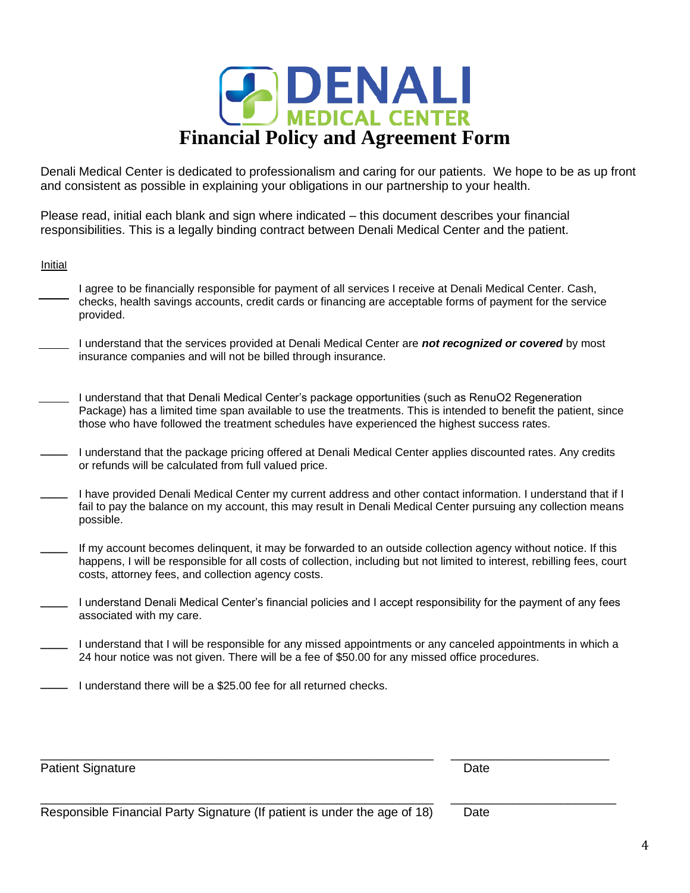

Denali Medical Center is dedicated to professionalism and caring for our patients. We hope to be as up front and consistent as possible in explaining your obligations in our partnership to your health.

Please read, initial each blank and sign where indicated – this document describes your financial responsibilities. This is a legally binding contract between Denali Medical Center and the patient.

#### Initial

- I agree to be financially responsible for payment of all services I receive at Denali Medical Center. Cash, checks, health savings accounts, credit cards or financing are acceptable forms of payment for the service provided.
- I understand that the services provided at Denali Medical Center are *not recognized or covered* by most insurance companies and will not be billed through insurance.
- I understand that that Denali Medical Center's package opportunities (such as RenuO2 Regeneration Package) has a limited time span available to use the treatments. This is intended to benefit the patient, since those who have followed the treatment schedules have experienced the highest success rates.
- **\_\_\_\_** I understand that the package pricing offered at Denali Medical Center applies discounted rates. Any credits or refunds will be calculated from full valued price.
- **\_\_\_\_** I have provided Denali Medical Center my current address and other contact information. I understand that if I fail to pay the balance on my account, this may result in Denali Medical Center pursuing any collection means possible.
- **\_\_\_\_** If my account becomes delinquent, it may be forwarded to an outside collection agency without notice. If this happens, I will be responsible for all costs of collection, including but not limited to interest, rebilling fees, court costs, attorney fees, and collection agency costs.
- **\_\_\_\_** I understand Denali Medical Center's financial policies and I accept responsibility for the payment of any fees associated with my care.
- **\_\_\_\_** I understand that I will be responsible for any missed appointments or any canceled appointments in which a 24 hour notice was not given. There will be a fee of \$50.00 for any missed office procedures.

\_\_\_\_\_\_\_\_\_\_\_\_\_\_\_\_\_\_\_\_\_\_\_\_\_\_\_\_\_\_\_\_\_\_\_\_\_\_\_\_\_\_\_\_\_\_\_\_\_\_\_\_\_\_\_\_\_ \_\_\_\_\_\_\_\_\_\_\_\_\_\_\_\_\_\_\_\_\_\_\_

**\_\_\_\_** I understand there will be a \$25.00 fee for all returned checks.

Patient Signature Date Communication of the Date Date Date Date Date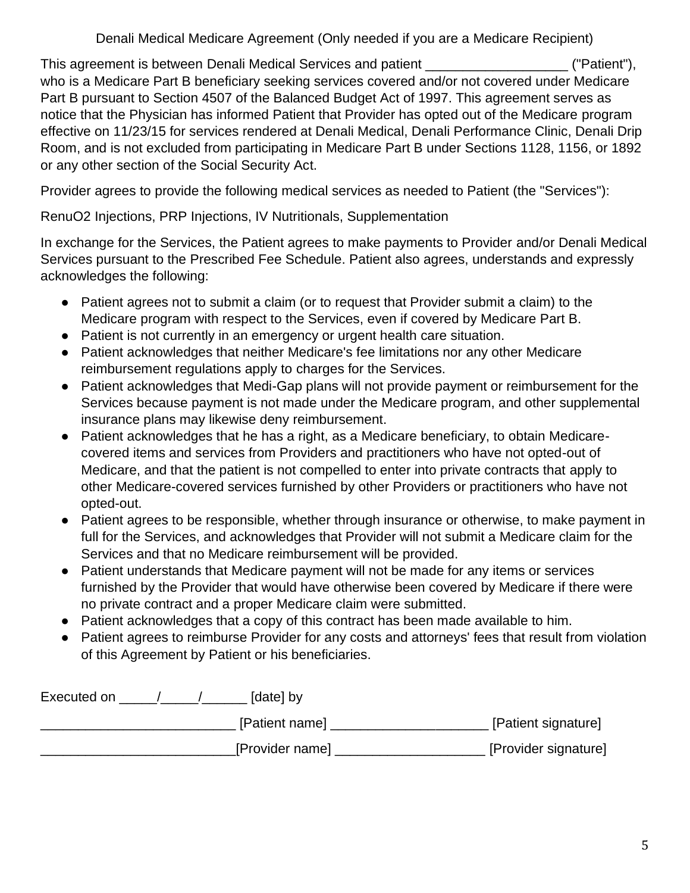Denali Medical Medicare Agreement (Only needed if you are a Medicare Recipient)

This agreement is between Denali Medical Services and patient **This agreement** ("Patient"), who is a Medicare Part B beneficiary seeking services covered and/or not covered under Medicare Part B pursuant to Section 4507 of the Balanced Budget Act of 1997. This agreement serves as notice that the Physician has informed Patient that Provider has opted out of the Medicare program effective on 11/23/15 for services rendered at Denali Medical, Denali Performance Clinic, Denali Drip Room, and is not excluded from participating in Medicare Part B under Sections 1128, 1156, or 1892 or any other section of the Social Security Act.

Provider agrees to provide the following medical services as needed to Patient (the "Services"):

RenuO2 Injections, PRP Injections, IV Nutritionals, Supplementation

In exchange for the Services, the Patient agrees to make payments to Provider and/or Denali Medical Services pursuant to the Prescribed Fee Schedule. Patient also agrees, understands and expressly acknowledges the following:

- Patient agrees not to submit a claim (or to request that Provider submit a claim) to the Medicare program with respect to the Services, even if covered by Medicare Part B.
- Patient is not currently in an emergency or urgent health care situation.
- Patient acknowledges that neither Medicare's fee limitations nor any other Medicare reimbursement regulations apply to charges for the Services.
- Patient acknowledges that Medi-Gap plans will not provide payment or reimbursement for the Services because payment is not made under the Medicare program, and other supplemental insurance plans may likewise deny reimbursement.
- Patient acknowledges that he has a right, as a Medicare beneficiary, to obtain Medicarecovered items and services from Providers and practitioners who have not opted-out of Medicare, and that the patient is not compelled to enter into private contracts that apply to other Medicare-covered services furnished by other Providers or practitioners who have not opted-out.
- Patient agrees to be responsible, whether through insurance or otherwise, to make payment in full for the Services, and acknowledges that Provider will not submit a Medicare claim for the Services and that no Medicare reimbursement will be provided.
- Patient understands that Medicare payment will not be made for any items or services furnished by the Provider that would have otherwise been covered by Medicare if there were no private contract and a proper Medicare claim were submitted.
- Patient acknowledges that a copy of this contract has been made available to him.
- Patient agrees to reimburse Provider for any costs and attorneys' fees that result from violation of this Agreement by Patient or his beneficiaries.

| Executed on | [date] by       |                      |
|-------------|-----------------|----------------------|
|             | [Patient name]  | [Patient signature]  |
|             | [Provider name] | [Provider signature] |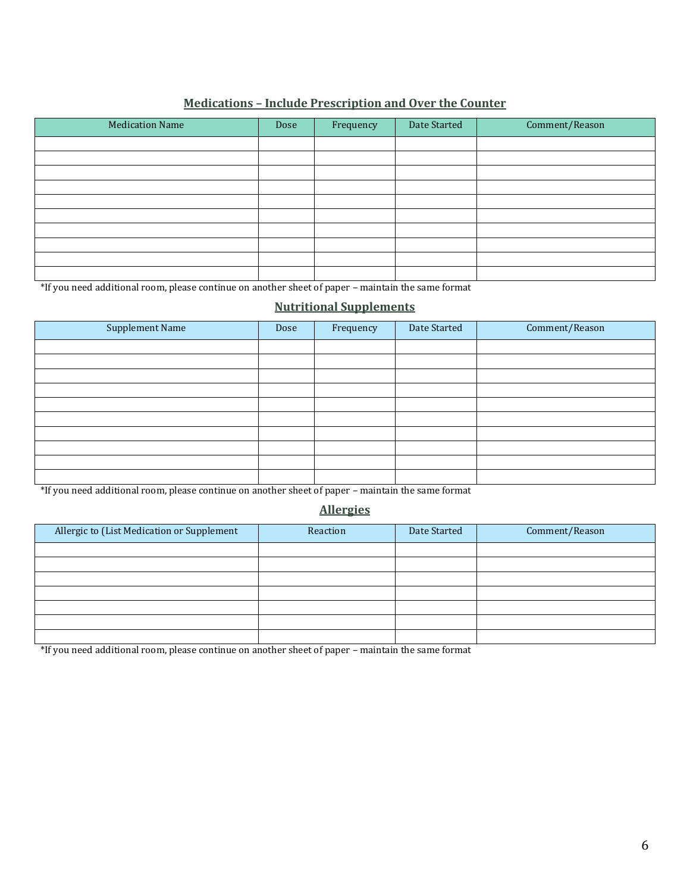### **Medications – Include Prescription and Over the Counter**

| <b>Medication Name</b> | Dose | Frequency | Date Started | Comment/Reason |
|------------------------|------|-----------|--------------|----------------|
|                        |      |           |              |                |
|                        |      |           |              |                |
|                        |      |           |              |                |
|                        |      |           |              |                |
|                        |      |           |              |                |
|                        |      |           |              |                |
|                        |      |           |              |                |
|                        |      |           |              |                |
|                        |      |           |              |                |
|                        |      |           |              |                |

\*If you need additional room, please continue on another sheet of paper – maintain the same format

#### **Nutritional Supplements**

| Dose | Frequency                           | Date Started | Comment/Reason   |
|------|-------------------------------------|--------------|------------------|
|      |                                     |              |                  |
|      |                                     |              |                  |
|      |                                     |              |                  |
|      |                                     |              |                  |
|      |                                     |              |                  |
|      |                                     |              |                  |
|      |                                     |              |                  |
|      |                                     |              |                  |
|      |                                     |              |                  |
|      |                                     |              |                  |
|      | the contract of the contract of the | $\sim$       | $\sim$<br>$\sim$ |

\*If you need additional room, please continue on another sheet of paper – maintain the same format

#### **Allergies**

| Allergic to (List Medication or Supplement | Reaction | Date Started | Comment/Reason |
|--------------------------------------------|----------|--------------|----------------|
|                                            |          |              |                |
|                                            |          |              |                |
|                                            |          |              |                |
|                                            |          |              |                |
|                                            |          |              |                |
|                                            |          |              |                |
|                                            |          |              |                |

\*If you need additional room, please continue on another sheet of paper – maintain the same format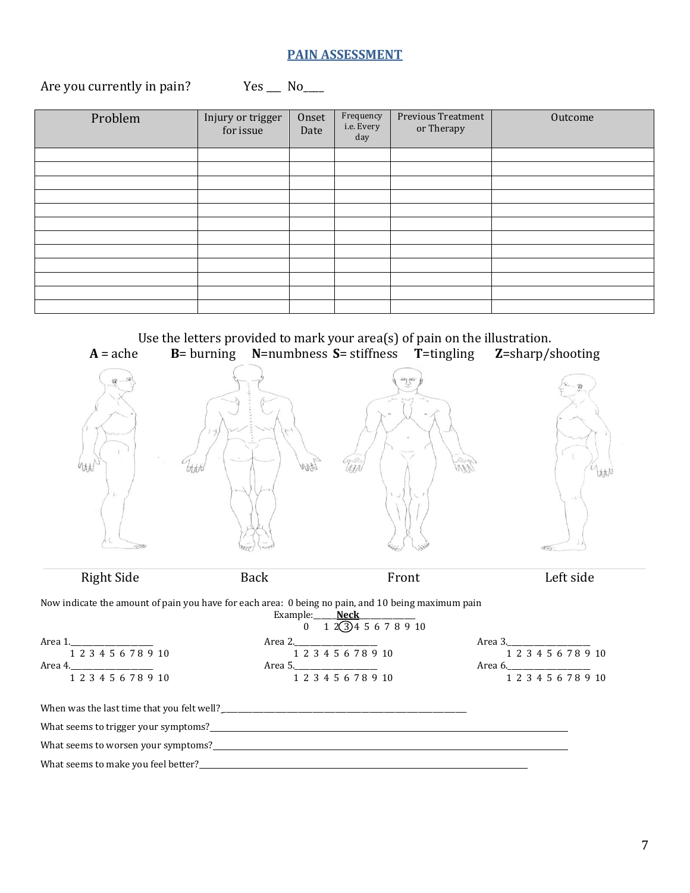### **PAIN ASSESSMENT**

## Are you currently in pain? Yes \_\_\_ No\_\_\_

| Problem | Injury or trigger<br>for issue | Onset<br>Date | Frequency<br>i.e. Every<br>day | Previous Treatment<br>or Therapy | Outcome |
|---------|--------------------------------|---------------|--------------------------------|----------------------------------|---------|
|         |                                |               |                                |                                  |         |
|         |                                |               |                                |                                  |         |
|         |                                |               |                                |                                  |         |
|         |                                |               |                                |                                  |         |
|         |                                |               |                                |                                  |         |
|         |                                |               |                                |                                  |         |
|         |                                |               |                                |                                  |         |
|         |                                |               |                                |                                  |         |
|         |                                |               |                                |                                  |         |
|         |                                |               |                                |                                  |         |
|         |                                |               |                                |                                  |         |
|         |                                |               |                                |                                  |         |

Use the letters provided to mark your area(s) of pain on the illustration.<br>  $B =$  burning **N**=numbness **S**= stiffness **T**=tingling **Z**=sharp/s **A** = ache **B**= burning **N**=numbness **S**= stiffness **T**=tingling **Z**=sharp/shooting WARN bbbb 灿

Right Side Back Front Left side

Now indicate the amount of pain you have for each area: 0 being no pain, and 10 being maximum pain<br>Example: Neck

|                                                                                                                                                                                                                                | Example: <b>Neck</b> $0$ 1 $\angle$ 1 $\angle$ 3 4 5 6 7 8 9 10 |                      |
|--------------------------------------------------------------------------------------------------------------------------------------------------------------------------------------------------------------------------------|-----------------------------------------------------------------|----------------------|
|                                                                                                                                                                                                                                |                                                                 |                      |
| 1 2 3 4 5 6 7 8 9 10                                                                                                                                                                                                           | 1 2 3 4 5 6 7 8 9 10                                            | 1 2 3 4 5 6 7 8 9 10 |
|                                                                                                                                                                                                                                |                                                                 |                      |
| 1 2 3 4 5 6 7 8 9 10                                                                                                                                                                                                           | 1 2 3 4 5 6 7 8 9 10                                            | 1 2 3 4 5 6 7 8 9 10 |
|                                                                                                                                                                                                                                |                                                                 |                      |
| What seems to trigger your symptoms?<br><u> What seems</u> to trigger your symptoms?                                                                                                                                           |                                                                 |                      |
| What seems to worsen your symptoms?                                                                                                                                                                                            |                                                                 |                      |
| What seems to make you feel better? Notice and the second second second second second second second second second second second second second second second second second second second second second second second second sec |                                                                 |                      |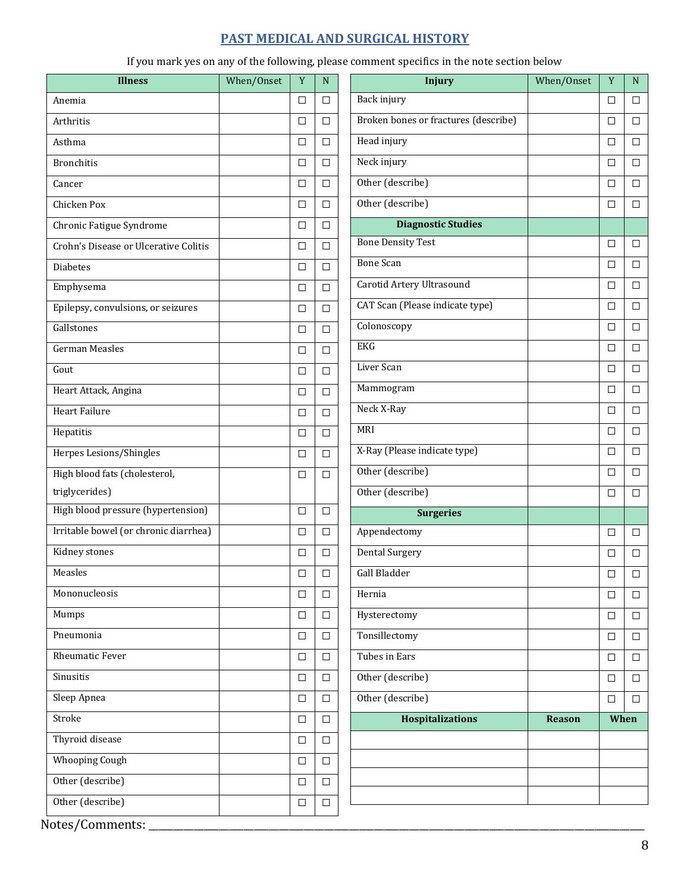## **PAST MEDICAL AND SURGICAL HISTORY**

If you mark yes on any of the following, please comment specifics in the note section below

 $\overline{\phantom{a}}$ 

| <b>Illness</b>                        | When/Onset | Y      | N |
|---------------------------------------|------------|--------|---|
| Anemia                                |            | □      | □ |
| Arthritis                             |            | п      | п |
| Asthma                                |            | □      | □ |
| <b>Bronchitis</b>                     |            | □      | п |
| Cancer                                |            | п      | п |
| Chicken Pox                           |            | п      | п |
| Chronic Fatigue Syndrome              |            | п      | П |
| Crohn's Disease or Ulcerative Colitis |            | о      | П |
| Diabetes                              |            | п      | п |
| Emphysema                             |            | П      | п |
| Epilepsy, convulsions, or seizures    |            | $\Box$ | □ |
| Gallstones                            |            | □      | п |
| <b>German Measles</b>                 |            | □      | □ |
| Gout                                  |            | □      | □ |
| Heart Attack, Angina                  |            | п      | п |
| <b>Heart Failure</b>                  |            | □      | □ |
| Hepatitis                             |            | п      | п |
| Herpes Lesions/Shingles               |            | □      | п |
| High blood fats (cholesterol,         |            | п      | П |
| triglycerides)                        |            |        |   |
| High blood pressure (hypertension)    |            | □      | □ |
| Irritable bowel (or chronic diarrhea) |            | □      | п |
| Kidney stones                         |            | □      | □ |
| Measles                               |            | □      | П |
| Mononucleosis                         |            | □      | □ |
| Mumps                                 |            | $\Box$ | п |
| Pneumonia                             |            | □      | п |
| <b>Rheumatic Fever</b>                |            | □      | □ |
| Sinusitis                             |            | □      | □ |
| Sleep Apnea                           |            | □      | □ |
| Stroke                                |            | □      | □ |
| Thyroid disease                       |            | □      | □ |
| <b>Whooping Cough</b>                 |            | ◻      | □ |
| Other (describe)                      |            | $\Box$ | □ |
| Other (describe)                      |            | □      | □ |

| <b>Injury</b>                        | When/Onset | $\mathbf Y$ | N      |
|--------------------------------------|------------|-------------|--------|
| Back injury                          |            | □           | п      |
| Broken bones or fractures (describe) |            | □           | □      |
| Head injury                          |            | п           | П      |
| Neck injury                          |            | □           | □      |
| Other (describe)                     |            | □           | □      |
| Other (describe)                     |            | □           | □      |
| <b>Diagnostic Studies</b>            |            |             |        |
| <b>Bone Density Test</b>             |            | □           | □      |
| <b>Bone Scan</b>                     |            | П           | □      |
| Carotid Artery Ultrasound            |            | □           | □      |
| CAT Scan (Please indicate type)      |            | □           | □      |
| Colonoscopy                          |            | □           | □      |
| EKG                                  |            | □           | $\Box$ |
| Liver Scan                           |            | □           | $\Box$ |
| Mammogram                            |            | □           | □      |
| Neck X-Ray                           |            | □           | $\Box$ |
| MRI                                  |            | □           | □      |
| X-Ray (Please indicate type)         |            | □           | $\Box$ |
| Other (describe)                     |            | ◘           | П      |
| Other (describe)                     |            | □           | п      |
| <b>Surgeries</b>                     |            |             |        |
| Appendectomy                         |            | □           | □      |
| Dental Surgery                       |            | □           | □      |
| Gall Bladder                         |            | $\Box$      | □      |
| Hernia                               |            | □           | п      |
| Hysterectomy                         |            | □           | □      |
| Tonsillectomy                        |            | ◘           | П      |
| Tubes in Ears                        |            | □           | П      |
| Other (describe)                     |            | □           | □      |
| Other (describe)                     |            | п           | п      |
| <b>Hospitalizations</b>              | Reason     | When        |        |
|                                      |            |             |        |
|                                      |            |             |        |
|                                      |            |             |        |
|                                      |            |             |        |

Notes/Comments: